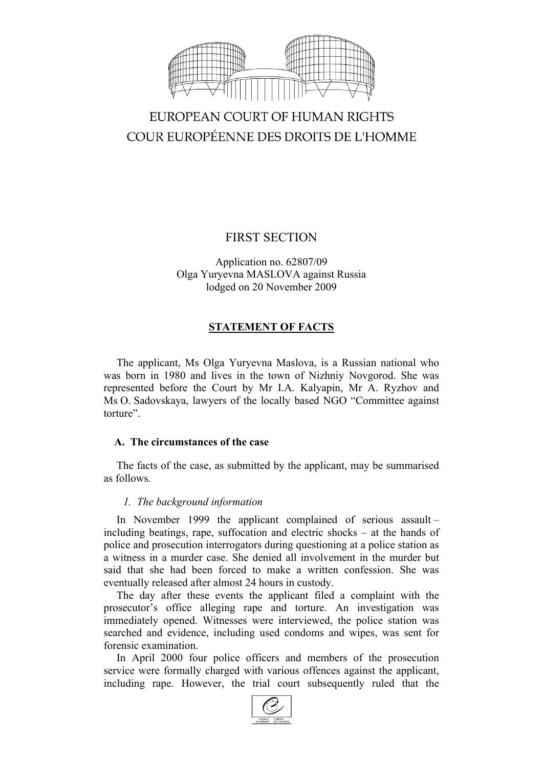

# EUROPEAN COURT OF HUMAN RIGHTS COUR EUROPÉENNE DES DROITS DE L'HOMME

# FIRST SECTION

Application no. 62807/09 Olga Yuryevna MASLOVA against Russia lodged on 20 November 2009

# **STATEMENT OF FACTS**

The applicant, Ms Olga Yuryevna Maslova, is a Russian national who was born in 1980 and lives in the town of Nizhniy Novgorod. She was represented before the Court by Mr I.A. Kalyapin, Mr A. Ryzhov and Ms O. Sadovskaya, lawyers of the locally based NGO "Committee against torture".

### **A. The circumstances of the case**

The facts of the case, as submitted by the applicant, may be summarised as follows.

### *1. The background information*

In November 1999 the applicant complained of serious assault – including beatings, rape, suffocation and electric shocks – at the hands of police and prosecution interrogators during questioning at a police station as a witness in a murder case. She denied all involvement in the murder but said that she had been forced to make a written confession. She was eventually released after almost 24 hours in custody.

The day after these events the applicant filed a complaint with the prosecutor's office alleging rape and torture. An investigation was immediately opened. Witnesses were interviewed, the police station was searched and evidence, including used condoms and wipes, was sent for forensic examination.

In April 2000 four police officers and members of the prosecution service were formally charged with various offences against the applicant, including rape. However, the trial court subsequently ruled that the

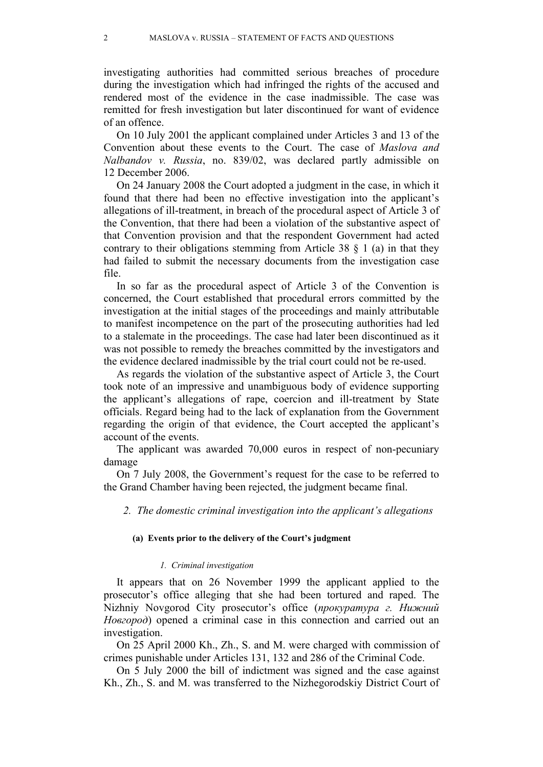investigating authorities had committed serious breaches of procedure during the investigation which had infringed the rights of the accused and rendered most of the evidence in the case inadmissible. The case was remitted for fresh investigation but later discontinued for want of evidence of an offence.

On 10 July 2001 the applicant complained under Articles 3 and 13 of the Convention about these events to the Court. The case of *Maslova and Nalbandov v. Russia*, no. 839/02, was declared partly admissible on 12 December 2006.

On 24 January 2008 the Court adopted a judgment in the case, in which it found that there had been no effective investigation into the applicant's allegations of ill-treatment, in breach of the procedural aspect of Article 3 of the Convention, that there had been a violation of the substantive aspect of that Convention provision and that the respondent Government had acted contrary to their obligations stemming from Article 38  $\S$  1 (a) in that they had failed to submit the necessary documents from the investigation case file.

In so far as the procedural aspect of Article 3 of the Convention is concerned, the Court established that procedural errors committed by the investigation at the initial stages of the proceedings and mainly attributable to manifest incompetence on the part of the prosecuting authorities had led to a stalemate in the proceedings. The case had later been discontinued as it was not possible to remedy the breaches committed by the investigators and the evidence declared inadmissible by the trial court could not be re-used.

As regards the violation of the substantive aspect of Article 3, the Court took note of an impressive and unambiguous body of evidence supporting the applicant's allegations of rape, coercion and ill-treatment by State officials. Regard being had to the lack of explanation from the Government regarding the origin of that evidence, the Court accepted the applicant's account of the events.

The applicant was awarded 70,000 euros in respect of non-pecuniary damage

On 7 July 2008, the Government's request for the case to be referred to the Grand Chamber having been rejected, the judgment became final.

*2. The domestic criminal investigation into the applicant's allegations*

#### **(a) Events prior to the delivery of the Court's judgment**

#### *1. Criminal investigation*

It appears that on 26 November 1999 the applicant applied to the prosecutor's office alleging that she had been tortured and raped. The Nizhniy Novgorod City prosecutor's office (*прокуратура г. Нижний Новгород*) opened a criminal case in this connection and carried out an investigation.

On 25 April 2000 Kh., Zh., S. and M. were charged with commission of crimes punishable under Articles 131, 132 and 286 of the Criminal Code.

On 5 July 2000 the bill of indictment was signed and the case against Kh., Zh., S. and M. was transferred to the Nizhegorodskiy District Court of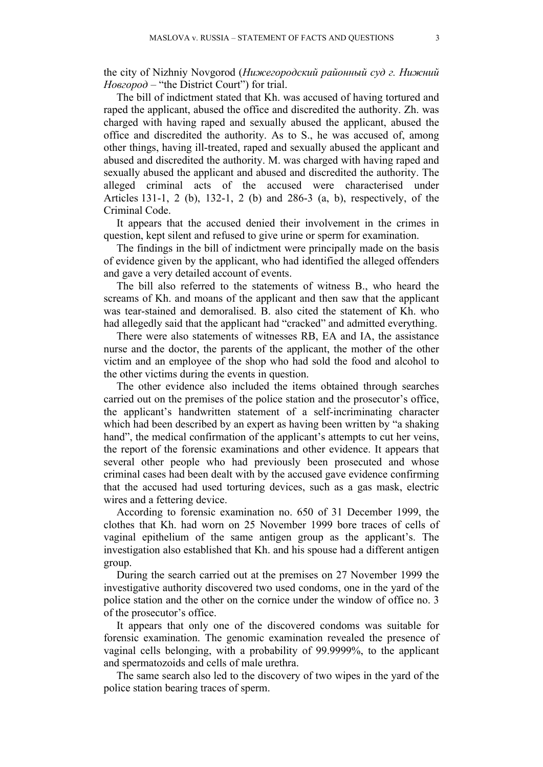the city of Nizhniy Novgorod (*Нижегородский районный суд г. Нижний Новгород –* "the District Court") for trial.

The bill of indictment stated that Kh. was accused of having tortured and raped the applicant, abused the office and discredited the authority. Zh. was charged with having raped and sexually abused the applicant, abused the office and discredited the authority. As to S., he was accused of, among other things, having ill-treated, raped and sexually abused the applicant and abused and discredited the authority. M. was charged with having raped and sexually abused the applicant and abused and discredited the authority. The alleged criminal acts of the accused were characterised under Articles 131-1, 2 (b), 132-1, 2 (b) and 286-3 (a, b), respectively, of the Criminal Code.

It appears that the accused denied their involvement in the crimes in question, kept silent and refused to give urine or sperm for examination.

The findings in the bill of indictment were principally made on the basis of evidence given by the applicant, who had identified the alleged offenders and gave a very detailed account of events.

The bill also referred to the statements of witness B., who heard the screams of Kh. and moans of the applicant and then saw that the applicant was tear-stained and demoralised. B. also cited the statement of Kh. who had allegedly said that the applicant had "cracked" and admitted everything.

There were also statements of witnesses RB, EA and IA, the assistance nurse and the doctor, the parents of the applicant, the mother of the other victim and an employee of the shop who had sold the food and alcohol to the other victims during the events in question.

The other evidence also included the items obtained through searches carried out on the premises of the police station and the prosecutor's office, the applicant's handwritten statement of a self-incriminating character which had been described by an expert as having been written by "a shaking" hand", the medical confirmation of the applicant's attempts to cut her veins, the report of the forensic examinations and other evidence. It appears that several other people who had previously been prosecuted and whose criminal cases had been dealt with by the accused gave evidence confirming that the accused had used torturing devices, such as a gas mask, electric wires and a fettering device.

According to forensic examination no. 650 of 31 December 1999, the clothes that Kh. had worn on 25 November 1999 bore traces of cells of vaginal epithelium of the same antigen group as the applicant's. The investigation also established that Kh. and his spouse had a different antigen group.

During the search carried out at the premises on 27 November 1999 the investigative authority discovered two used condoms, one in the yard of the police station and the other on the cornice under the window of office no. 3 of the prosecutor's office.

It appears that only one of the discovered condoms was suitable for forensic examination. The genomic examination revealed the presence of vaginal cells belonging, with a probability of 99.9999%, to the applicant and spermatozoids and cells of male urethra.

The same search also led to the discovery of two wipes in the yard of the police station bearing traces of sperm.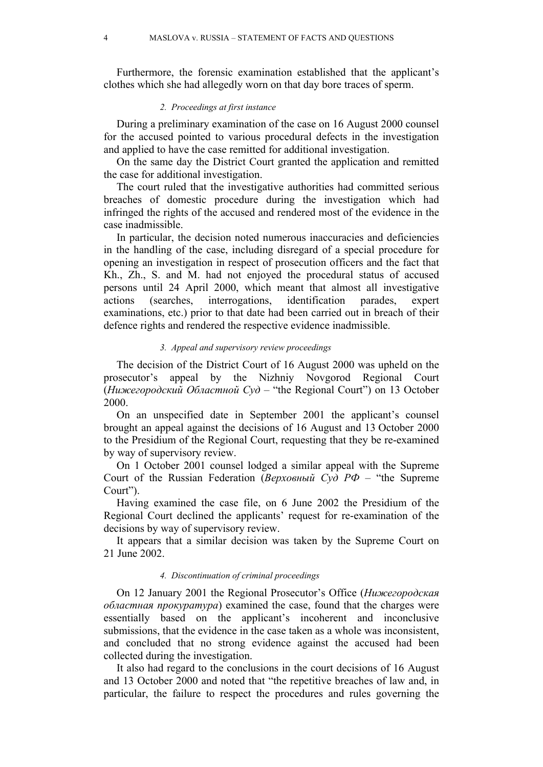Furthermore, the forensic examination established that the applicant's clothes which she had allegedly worn on that day bore traces of sperm.

#### *2. Proceedings at first instance*

During a preliminary examination of the case on 16 August 2000 counsel for the accused pointed to various procedural defects in the investigation and applied to have the case remitted for additional investigation.

On the same day the District Court granted the application and remitted the case for additional investigation.

The court ruled that the investigative authorities had committed serious breaches of domestic procedure during the investigation which had infringed the rights of the accused and rendered most of the evidence in the case inadmissible.

In particular, the decision noted numerous inaccuracies and deficiencies in the handling of the case, including disregard of a special procedure for opening an investigation in respect of prosecution officers and the fact that Kh., Zh., S. and M. had not enjoyed the procedural status of accused persons until 24 April 2000, which meant that almost all investigative actions (searches, interrogations, identification parades, expert examinations, etc.) prior to that date had been carried out in breach of their defence rights and rendered the respective evidence inadmissible.

#### *3. Appeal and supervisory review proceedings*

The decision of the District Court of 16 August 2000 was upheld on the prosecutor's appeal by the Nizhniy Novgorod Regional Court (*Нижегородский Областной Суд* – "the Regional Court") on 13 October 2000.

On an unspecified date in September 2001 the applicant's counsel brought an appeal against the decisions of 16 August and 13 October 2000 to the Presidium of the Regional Court, requesting that they be re-examined by way of supervisory review.

On 1 October 2001 counsel lodged a similar appeal with the Supreme Court of the Russian Federation (*Верховный Суд РФ* – "the Supreme Court").

Having examined the case file, on 6 June 2002 the Presidium of the Regional Court declined the applicants' request for re-examination of the decisions by way of supervisory review.

It appears that a similar decision was taken by the Supreme Court on 21 June 2002.

#### *4. Discontinuation of criminal proceedings*

On 12 January 2001 the Regional Prosecutor's Office (*Нижегородская областная прокуратура*) examined the case, found that the charges were essentially based on the applicant's incoherent and inconclusive submissions, that the evidence in the case taken as a whole was inconsistent, and concluded that no strong evidence against the accused had been collected during the investigation.

It also had regard to the conclusions in the court decisions of 16 August and 13 October 2000 and noted that "the repetitive breaches of law and, in particular, the failure to respect the procedures and rules governing the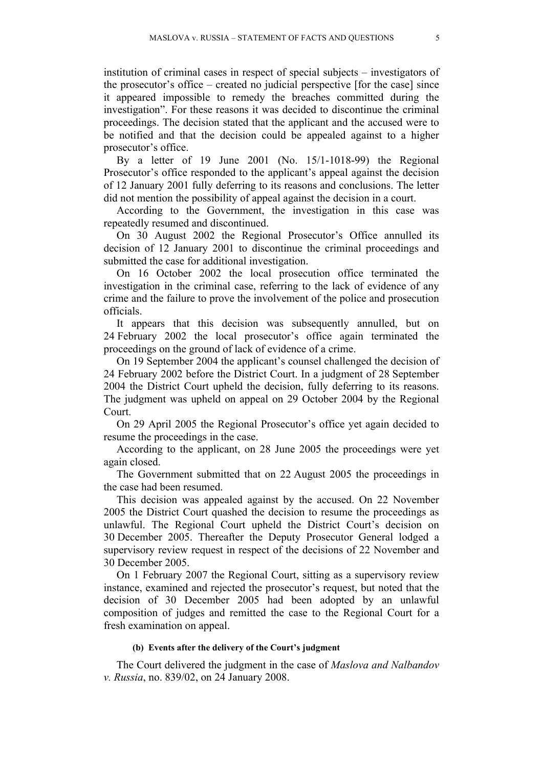institution of criminal cases in respect of special subjects – investigators of the prosecutor's office – created no judicial perspective [for the case] since it appeared impossible to remedy the breaches committed during the investigation". For these reasons it was decided to discontinue the criminal proceedings. The decision stated that the applicant and the accused were to be notified and that the decision could be appealed against to a higher prosecutor's office.

By a letter of 19 June 2001 (No. 15/1-1018-99) the Regional Prosecutor's office responded to the applicant's appeal against the decision of 12 January 2001 fully deferring to its reasons and conclusions. The letter did not mention the possibility of appeal against the decision in a court.

According to the Government, the investigation in this case was repeatedly resumed and discontinued.

On 30 August 2002 the Regional Prosecutor's Office annulled its decision of 12 January 2001 to discontinue the criminal proceedings and submitted the case for additional investigation.

On 16 October 2002 the local prosecution office terminated the investigation in the criminal case, referring to the lack of evidence of any crime and the failure to prove the involvement of the police and prosecution officials.

It appears that this decision was subsequently annulled, but on 24 February 2002 the local prosecutor's office again terminated the proceedings on the ground of lack of evidence of a crime.

On 19 September 2004 the applicant's counsel challenged the decision of 24 February 2002 before the District Court. In a judgment of 28 September 2004 the District Court upheld the decision, fully deferring to its reasons. The judgment was upheld on appeal on 29 October 2004 by the Regional Court.

On 29 April 2005 the Regional Prosecutor's office yet again decided to resume the proceedings in the case.

According to the applicant, on 28 June 2005 the proceedings were yet again closed.

The Government submitted that on 22 August 2005 the proceedings in the case had been resumed.

This decision was appealed against by the accused. On 22 November 2005 the District Court quashed the decision to resume the proceedings as unlawful. The Regional Court upheld the District Court's decision on 30 December 2005. Thereafter the Deputy Prosecutor General lodged a supervisory review request in respect of the decisions of 22 November and 30 December 2005.

On 1 February 2007 the Regional Court, sitting as a supervisory review instance, examined and rejected the prosecutor's request, but noted that the decision of 30 December 2005 had been adopted by an unlawful composition of judges and remitted the case to the Regional Court for a fresh examination on appeal.

#### **(b) Events after the delivery of the Court's judgment**

The Court delivered the judgment in the case of *Maslova and Nalbandov v. Russia*, no. 839/02, on 24 January 2008.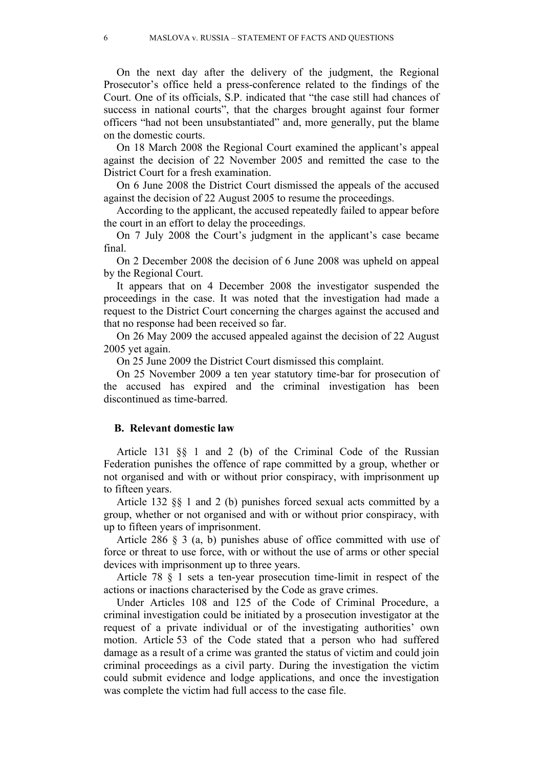On the next day after the delivery of the judgment, the Regional Prosecutor's office held a press-conference related to the findings of the Court. One of its officials, S.P. indicated that "the case still had chances of success in national courts", that the charges brought against four former officers "had not been unsubstantiated" and, more generally, put the blame on the domestic courts.

On 18 March 2008 the Regional Court examined the applicant's appeal against the decision of 22 November 2005 and remitted the case to the District Court for a fresh examination.

On 6 June 2008 the District Court dismissed the appeals of the accused against the decision of 22 August 2005 to resume the proceedings.

According to the applicant, the accused repeatedly failed to appear before the court in an effort to delay the proceedings.

On 7 July 2008 the Court's judgment in the applicant's case became final.

On 2 December 2008 the decision of 6 June 2008 was upheld on appeal by the Regional Court.

It appears that on 4 December 2008 the investigator suspended the proceedings in the case. It was noted that the investigation had made a request to the District Court concerning the charges against the accused and that no response had been received so far.

On 26 May 2009 the accused appealed against the decision of 22 August 2005 yet again.

On 25 June 2009 the District Court dismissed this complaint.

On 25 November 2009 a ten year statutory time-bar for prosecution of the accused has expired and the criminal investigation has been discontinued as time-barred.

#### **B. Relevant domestic law**

Article 131 §§ 1 and 2 (b) of the Criminal Code of the Russian Federation punishes the offence of rape committed by a group, whether or not organised and with or without prior conspiracy, with imprisonment up to fifteen years.

Article 132 §§ 1 and 2 (b) punishes forced sexual acts committed by a group, whether or not organised and with or without prior conspiracy, with up to fifteen years of imprisonment.

Article 286 § 3 (a, b) punishes abuse of office committed with use of force or threat to use force, with or without the use of arms or other special devices with imprisonment up to three years.

Article 78 § 1 sets a ten-year prosecution time-limit in respect of the actions or inactions characterised by the Code as grave crimes.

Under Articles 108 and 125 of the Code of Criminal Procedure, a criminal investigation could be initiated by a prosecution investigator at the request of a private individual or of the investigating authorities' own motion. Article 53 of the Code stated that a person who had suffered damage as a result of a crime was granted the status of victim and could join criminal proceedings as a civil party. During the investigation the victim could submit evidence and lodge applications, and once the investigation was complete the victim had full access to the case file.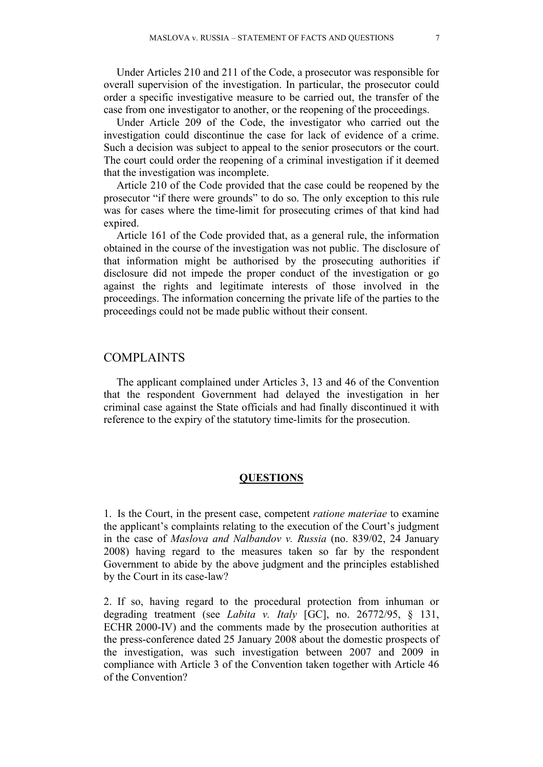Under Articles 210 and 211 of the Code, a prosecutor was responsible for overall supervision of the investigation. In particular, the prosecutor could order a specific investigative measure to be carried out, the transfer of the case from one investigator to another, or the reopening of the proceedings.

Under Article 209 of the Code, the investigator who carried out the investigation could discontinue the case for lack of evidence of a crime. Such a decision was subject to appeal to the senior prosecutors or the court. The court could order the reopening of a criminal investigation if it deemed that the investigation was incomplete.

Article 210 of the Code provided that the case could be reopened by the prosecutor "if there were grounds" to do so. The only exception to this rule was for cases where the time-limit for prosecuting crimes of that kind had expired.

Article 161 of the Code provided that, as a general rule, the information obtained in the course of the investigation was not public. The disclosure of that information might be authorised by the prosecuting authorities if disclosure did not impede the proper conduct of the investigation or go against the rights and legitimate interests of those involved in the proceedings. The information concerning the private life of the parties to the proceedings could not be made public without their consent.

## COMPLAINTS

The applicant complained under Articles 3, 13 and 46 of the Convention that the respondent Government had delayed the investigation in her criminal case against the State officials and had finally discontinued it with reference to the expiry of the statutory time-limits for the prosecution.

### **QUESTIONS**

1. Is the Court, in the present case, competent *ratione materiae* to examine the applicant's complaints relating to the execution of the Court's judgment in the case of *Maslova and Nalbandov v. Russia* (no. 839/02, 24 January 2008) having regard to the measures taken so far by the respondent Government to abide by the above judgment and the principles established by the Court in its case-law?

2. If so, having regard to the procedural protection from inhuman or degrading treatment (see *Labita v. Italy* [GC], no. 26772/95, § 131, ECHR 2000-IV) and the comments made by the prosecution authorities at the press-conference dated 25 January 2008 about the domestic prospects of the investigation, was such investigation between 2007 and 2009 in compliance with Article 3 of the Convention taken together with Article 46 of the Convention?